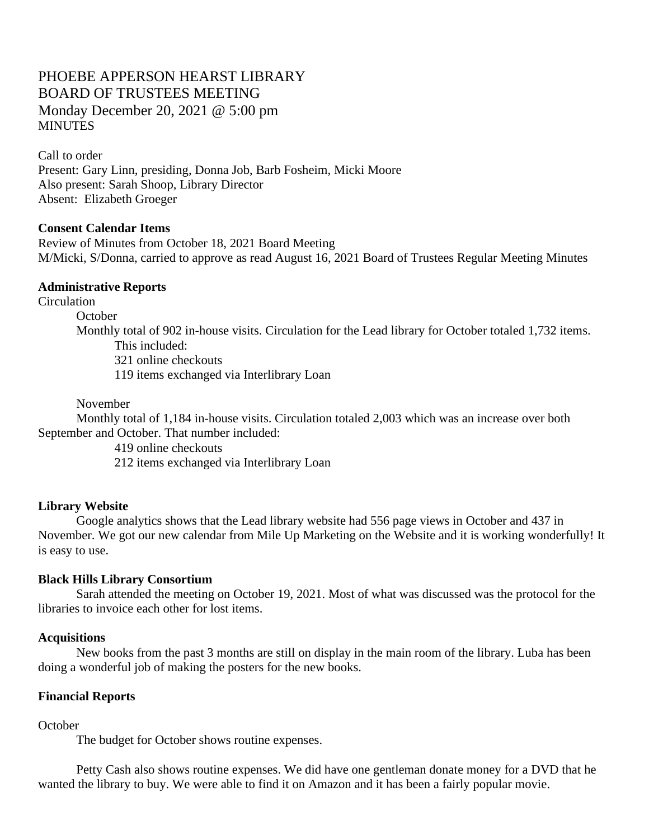# PHOEBE APPERSON HEARST LIBRARY BOARD OF TRUSTEES MEETING Monday December 20, 2021 @ 5:00 pm **MINUTES**

Call to order Present: Gary Linn, presiding, Donna Job, Barb Fosheim, Micki Moore Also present: Sarah Shoop, Library Director Absent: Elizabeth Groeger

### **Consent Calendar Items**

Review of Minutes from October 18, 2021 Board Meeting M/Micki, S/Donna, carried to approve as read August 16, 2021 Board of Trustees Regular Meeting Minutes

### **Administrative Reports**

**Circulation** 

**October** 

Monthly total of 902 in-house visits. Circulation for the Lead library for October totaled 1,732 items. This included: 321 online checkouts

119 items exchanged via Interlibrary Loan

#### November

Monthly total of 1,184 in-house visits. Circulation totaled 2,003 which was an increase over both September and October. That number included:

419 online checkouts

212 items exchanged via Interlibrary Loan

### **Library Website**

Google analytics shows that the Lead library website had 556 page views in October and 437 in November. We got our new calendar from Mile Up Marketing on the Website and it is working wonderfully! It is easy to use.

### **Black Hills Library Consortium**

Sarah attended the meeting on October 19, 2021. Most of what was discussed was the protocol for the libraries to invoice each other for lost items.

#### **Acquisitions**

New books from the past 3 months are still on display in the main room of the library. Luba has been doing a wonderful job of making the posters for the new books.

### **Financial Reports**

### **October**

The budget for October shows routine expenses.

Petty Cash also shows routine expenses. We did have one gentleman donate money for a DVD that he wanted the library to buy. We were able to find it on Amazon and it has been a fairly popular movie.